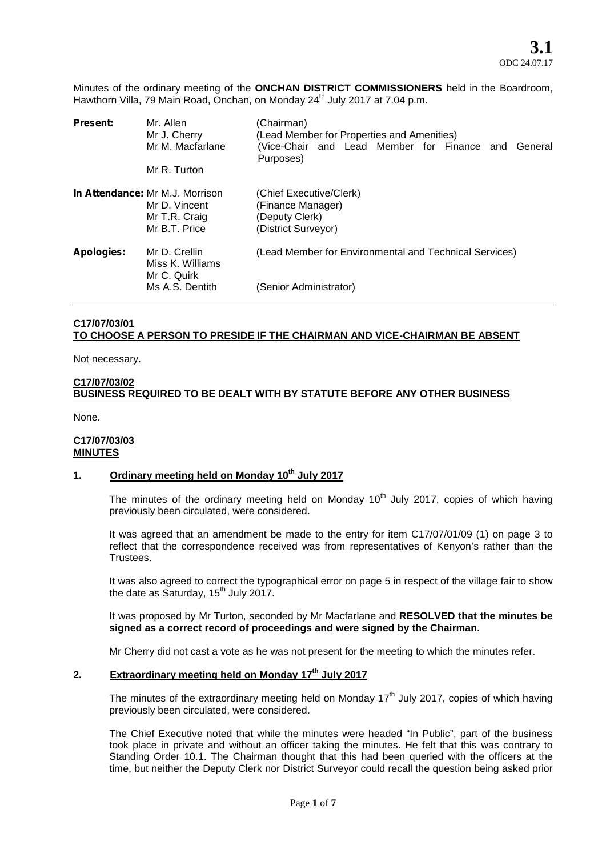Minutes of the ordinary meeting of the **ONCHAN DISTRICT COMMISSIONERS** held in the Boardroom, Hawthorn Villa, 79 Main Road, Onchan, on Monday 24<sup>th</sup> July 2017 at 7.04 p.m.

| <b>Present:</b> | Mr. Allen<br>Mr J. Cherry<br>Mr M. Macfarlane<br>Mr R. Turton                      | (Chairman)<br>(Lead Member for Properties and Amenities)<br>(Vice-Chair and Lead Member for Finance and<br>General<br>Purposes) |
|-----------------|------------------------------------------------------------------------------------|---------------------------------------------------------------------------------------------------------------------------------|
|                 | In Attendance: Mr M.J. Morrison<br>Mr D. Vincent<br>Mr T.R. Craig<br>Mr B.T. Price | (Chief Executive/Clerk)<br>(Finance Manager)<br>(Deputy Clerk)<br>(District Surveyor)                                           |
| Apologies:      | Mr D. Crellin<br>Miss K. Williams<br>Mr C. Quirk<br>Ms A.S. Dentith                | (Lead Member for Environmental and Technical Services)<br>(Senior Administrator)                                                |
|                 |                                                                                    |                                                                                                                                 |

# **C17/07/03/01 TO CHOOSE A PERSON TO PRESIDE IF THE CHAIRMAN AND VICE-CHAIRMAN BE ABSENT**

Not necessary.

## **C17/07/03/02 BUSINESS REQUIRED TO BE DEALT WITH BY STATUTE BEFORE ANY OTHER BUSINESS**

None.

### **C17/07/03/03 MINUTES**

## **1. Ordinary meeting held on Monday 10th July 2017**

The minutes of the ordinary meeting held on Monday  $10<sup>th</sup>$  July 2017, copies of which having previously been circulated, were considered.

It was agreed that an amendment be made to the entry for item C17/07/01/09 (1) on page 3 to reflect that the correspondence received was from representatives of Kenyon's rather than the Trustees.

It was also agreed to correct the typographical error on page 5 in respect of the village fair to show the date as Saturday,  $15^{th}$  July 2017.

It was proposed by Mr Turton, seconded by Mr Macfarlane and **RESOLVED that the minutes be signed as a correct record of proceedings and were signed by the Chairman.**

Mr Cherry did not cast a vote as he was not present for the meeting to which the minutes refer.

# **2. Extraordinary meeting held on Monday 17th July 2017**

The minutes of the extraordinary meeting held on Monday 17<sup>th</sup> July 2017, copies of which having previously been circulated, were considered.

The Chief Executive noted that while the minutes were headed "In Public", part of the business took place in private and without an officer taking the minutes. He felt that this was contrary to Standing Order 10.1. The Chairman thought that this had been queried with the officers at the time, but neither the Deputy Clerk nor District Surveyor could recall the question being asked prior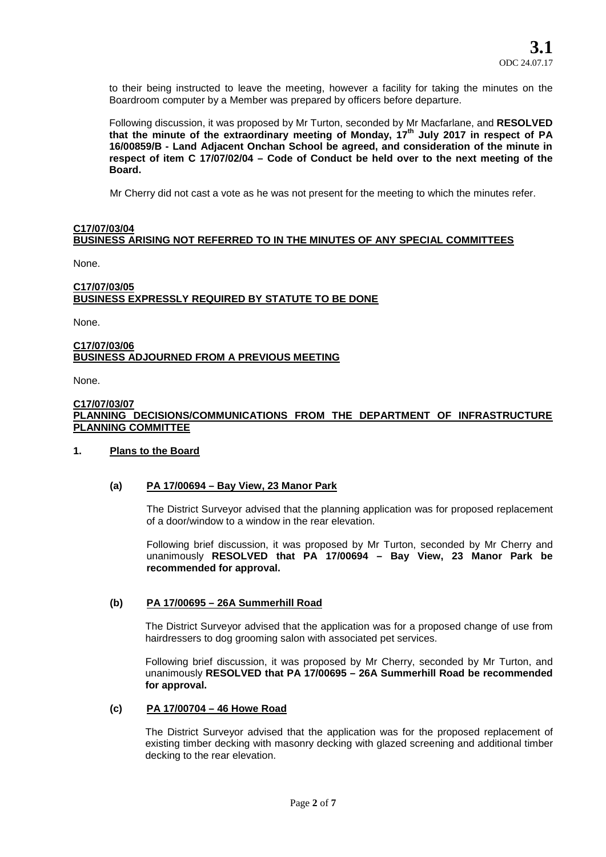to their being instructed to leave the meeting, however a facility for taking the minutes on the Boardroom computer by a Member was prepared by officers before departure.

Following discussion, it was proposed by Mr Turton, seconded by Mr Macfarlane, and **RESOLVED that the minute of the extraordinary meeting of Monday, 17th July 2017 in respect of PA 16/00859/B - Land Adjacent Onchan School be agreed, and consideration of the minute in respect of item C 17/07/02/04 – Code of Conduct be held over to the next meeting of the Board.**

Mr Cherry did not cast a vote as he was not present for the meeting to which the minutes refer.

## **C17/07/03/04 BUSINESS ARISING NOT REFERRED TO IN THE MINUTES OF ANY SPECIAL COMMITTEES**

None.

## **C17/07/03/05 BUSINESS EXPRESSLY REQUIRED BY STATUTE TO BE DONE**

None.

### **C17/07/03/06 BUSINESS ADJOURNED FROM A PREVIOUS MEETING**

None.

#### **C17/07/03/07 PLANNING DECISIONS/COMMUNICATIONS FROM THE DEPARTMENT OF INFRASTRUCTURE PLANNING COMMITTEE**

### **1. Plans to the Board**

### **(a) PA 17/00694 – Bay View, 23 Manor Park**

The District Surveyor advised that the planning application was for proposed replacement of a door/window to a window in the rear elevation.

Following brief discussion, it was proposed by Mr Turton, seconded by Mr Cherry and unanimously **RESOLVED that PA 17/00694 – Bay View, 23 Manor Park be recommended forapproval.**

### **(b) PA 17/00695 – 26A Summerhill Road**

The District Surveyor advised that the application was for a proposed change of use from hairdressers to dog grooming salon with associated pet services.

Following brief discussion, it was proposed by Mr Cherry, seconded by Mr Turton, and unanimously **RESOLVED that PA 17/00695 – 26A Summerhill Road be recommended for approval.**

### **(c) PA 17/00704 – 46 Howe Road**

The District Surveyor advised that the application was for the proposed replacement of existing timber decking with masonry decking with glazed screening and additional timber decking to the rear elevation.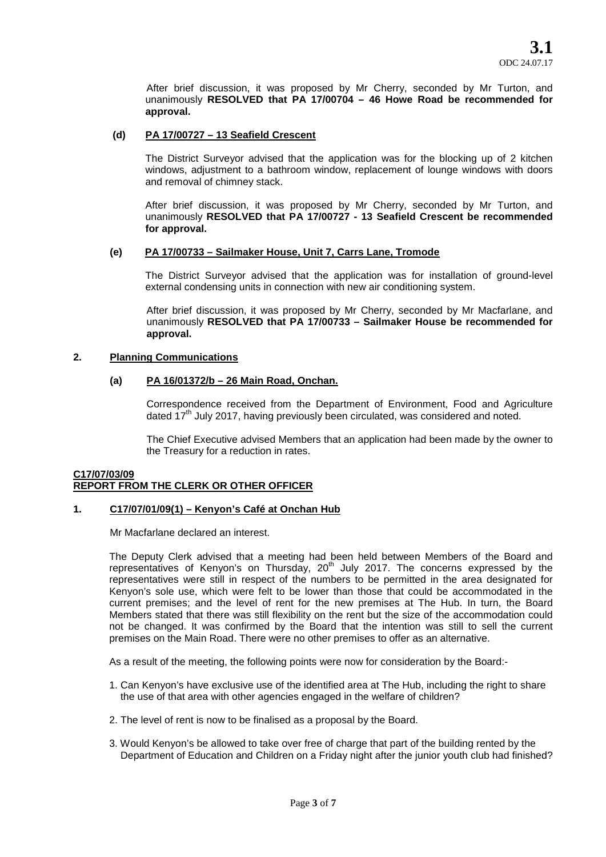After brief discussion, it was proposed by Mr Cherry, seconded by Mr Turton, and unanimously **RESOLVED that PA 17/00704 – 46 Howe Road be recommended for approval.**

## **(d) PA 17/00727 – 13 Seafield Crescent**

The District Surveyor advised that the application was for the blocking up of 2 kitchen windows, adjustment to a bathroom window, replacement of lounge windows with doors and removal of chimney stack.

After brief discussion, it was proposed by Mr Cherry, seconded by Mr Turton, and unanimously **RESOLVED that PA 17/00727 - 13 Seafield Crescent be recommended for approval.**

## **(e) PA 17/00733 – Sailmaker House, Unit 7, Carrs Lane, Tromode**

The District Surveyor advised that the application was for installation of ground-level external condensing units in connection with new air conditioning system.

After brief discussion, it was proposed by Mr Cherry, seconded by Mr Macfarlane, and unanimously **RESOLVED that PA 17/00733 – Sailmaker House be recommended for approval.**

### **2. Planning Communications**

## **(a) PA 16/01372/b – 26 Main Road, Onchan.**

Correspondence received from the Department of Environment, Food and Agriculture dated 17<sup>th</sup> July 2017, having previously been circulated, was considered and noted.

The Chief Executive advised Members that an application had been made by the owner to the Treasury for a reduction in rates.

## **C17/07/03/09 REPORT FROM THE CLERK OR OTHER OFFICER**

### **1. C17/07/01/09(1) – Kenyon's Café at Onchan Hub**

Mr Macfarlane declared an interest.

The Deputy Clerk advised that a meeting had been held between Members of the Board and representatives of Kenyon's on Thursday, 20<sup>th</sup> July 2017. The concerns expressed by the representatives were still in respect of the numbers to be permitted in the area designated for Kenyon's sole use, which were felt to be lower than those that could be accommodated in the current premises; and the level of rent for the new premises at The Hub. In turn, the Board Members stated that there was still flexibility on the rent but the size of the accommodation could not be changed. It was confirmed by the Board that the intention was still to sell the current premises on the Main Road. There were no other premises to offer as an alternative.

As a result of the meeting, the following points were now for consideration by the Board:-

- 1. Can Kenyon's have exclusive use of the identified area at The Hub, including the right to share the use of that area with other agencies engaged in the welfare of children?
- 2. The level of rent is now to be finalised as a proposal by the Board.
- 3. Would Kenyon's be allowed to take over free of charge that part of the building rented by the Department of Education and Children on a Friday night after the junior youth club had finished?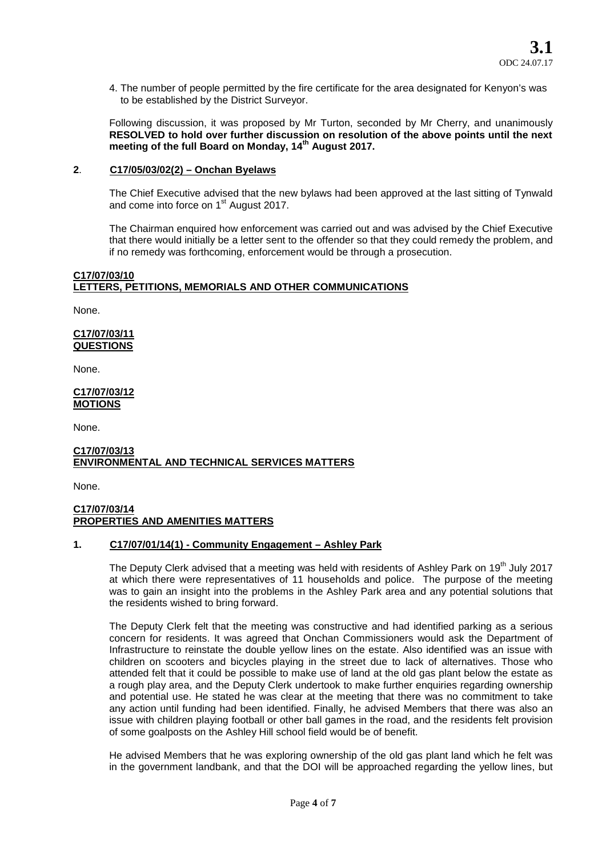4. The number of people permitted by the fire certificate for the area designated for Kenyon's was to be established by the District Surveyor.

Following discussion, it was proposed by Mr Turton, seconded by Mr Cherry, and unanimously **RESOLVED to hold over further discussion on resolution of the above points until the next meeting of the full Board on Monday, 14th August 2017.**

### **2**. **C17/05/03/02(2) – Onchan Byelaws**

The Chief Executive advised that the new bylaws had been approved at the last sitting of Tynwald and come into force on 1<sup>st</sup> August 2017.

The Chairman enquired how enforcement was carried out and was advised by the Chief Executive that there would initially be a letter sent to the offender so that they could remedy the problem, and if no remedy was forthcoming, enforcement would be through a prosecution.

## **C17/07/03/10 LETTERS, PETITIONS, MEMORIALS AND OTHER COMMUNICATIONS**

None.

### **C17/07/03/11 QUESTIONS**

None.

#### **C17/07/03/12 MOTIONS**

None.

### **C17/07/03/13 ENVIRONMENTAL AND TECHNICAL SERVICES MATTERS**

None.

### **C17/07/03/14 PROPERTIES AND AMENITIES MATTERS**

## **1. C17/07/01/14(1) - Community Engagement – Ashley Park**

The Deputy Clerk advised that a meeting was held with residents of Ashley Park on 19<sup>th</sup> July 2017 at which there were representatives of 11 households and police. The purpose of the meeting was to gain an insight into the problems in the Ashley Park area and any potential solutions that the residents wished to bring forward.

The Deputy Clerk felt that the meeting was constructive and had identified parking as a serious concern for residents. It was agreed that Onchan Commissioners would ask the Department of Infrastructure to reinstate the double yellow lines on the estate. Also identified was an issue with children on scooters and bicycles playing in the street due to lack of alternatives. Those who attended felt that it could be possible to make use of land at the old gas plant below the estate as a rough play area, and the Deputy Clerk undertook to make further enquiries regarding ownership and potential use. He stated he was clear at the meeting that there was no commitment to take any action until funding had been identified. Finally, he advised Members that there was also an issue with children playing football or other ball games in the road, and the residents felt provision of some goalposts on the Ashley Hill school field would be of benefit.

He advised Members that he was exploring ownership of the old gas plant land which he felt was in the government landbank, and that the DOI will be approached regarding the yellow lines, but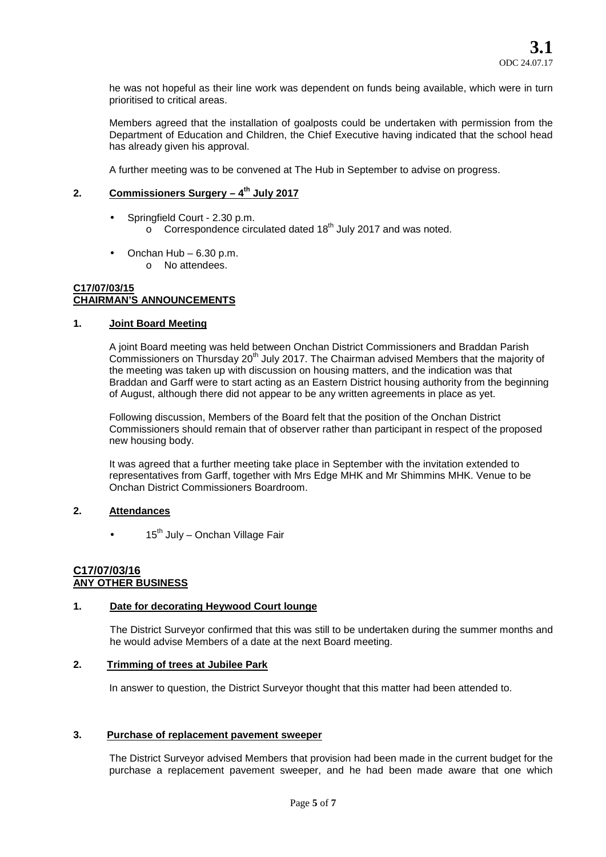he was not hopeful as their line work was dependent on funds being available, which were in turn prioritised to critical areas.

Members agreed that the installation of goalposts could be undertaken with permission from the Department of Education and Children, the Chief Executive having indicated that the school head has already given his approval.

A further meeting was to be convened at The Hub in September to advise on progress.

## **2. Commissioners Surgery – 4 th July 2017**

- Springfield Court 2.30 p.m.  $\circ$  Correspondence circulated dated 18<sup>th</sup> July 2017 and was noted.
- Onchan Hub 6.30 p.m. o No attendees.

### **C17/07/03/15 CHAIRMAN'S ANNOUNCEMENTS**

### **1. Joint Board Meeting**

A joint Board meeting was held between Onchan District Commissioners and Braddan Parish Commissioners on Thursday 20<sup>th</sup> July 2017. The Chairman advised Members that the majority of the meeting was taken up with discussion on housing matters, and the indication was that Braddan and Garff were to start acting as an Eastern District housing authority from the beginning of August, although there did not appear to be any written agreements in place as yet.

Following discussion, Members of the Board felt that the position of the Onchan District Commissioners should remain that of observer rather than participant in respect of the proposed new housing body.

It was agreed that a further meeting take place in September with the invitation extended to representatives from Garff, together with Mrs Edge MHK and Mr Shimmins MHK. Venue to be Onchan District Commissioners Boardroom.

## **2. Attendances**

 $15<sup>th</sup>$  July – Onchan Village Fair

### **C17/07/03/16 ANY OTHER BUSINESS**

### **1. Date for decorating Heywood Court lounge**

The District Surveyor confirmed that this was still to be undertaken during the summer months and he would advise Members of a date at the next Board meeting.

### **2. Trimming of trees at Jubilee Park**

In answer to question, the District Surveyor thought that this matter had been attended to.

### **3. Purchase of replacement pavement sweeper**

The District Surveyor advised Members that provision had been made in the current budget for the purchase a replacement pavement sweeper, and he had been made aware that one which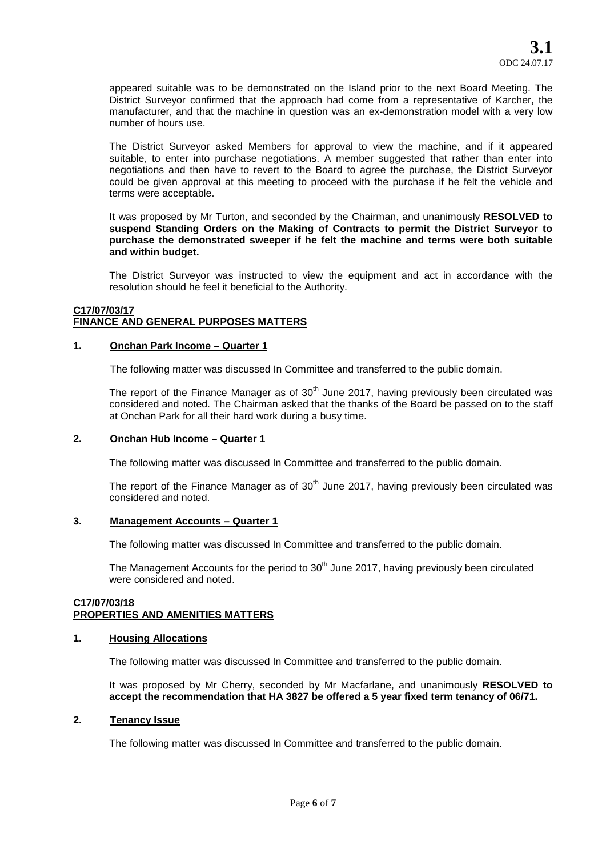appeared suitable was to be demonstrated on the Island prior to the next Board Meeting. The District Surveyor confirmed that the approach had come from a representative of Karcher, the manufacturer, and that the machine in question was an ex-demonstration model with a very low number of hours use.

The District Surveyor asked Members for approval to view the machine, and if it appeared suitable, to enter into purchase negotiations. A member suggested that rather than enter into negotiations and then have to revert to the Board to agree the purchase, the District Surveyor could be given approval at this meeting to proceed with the purchase if he felt the vehicle and terms were acceptable.

It was proposed by Mr Turton, and seconded by the Chairman, and unanimously **RESOLVED to suspend Standing Orders on the Making of Contracts to permit the District Surveyor to purchase the demonstrated sweeper if he felt the machine and terms were both suitable and within budget.**

The District Surveyor was instructed to view the equipment and act in accordance with the resolution should he feel it beneficial to the Authority.

### **C17/07/03/17 FINANCE AND GENERAL PURPOSES MATTERS**

### **1. Onchan Park Income – Quarter 1**

The following matter was discussed In Committee and transferred to the public domain.

The report of the Finance Manager as of  $30<sup>th</sup>$  June 2017, having previously been circulated was considered and noted. The Chairman asked that the thanks of the Board be passed on to the staff at Onchan Park for all their hard work during a busy time.

### **2. Onchan Hub Income – Quarter 1**

The following matter was discussed In Committee and transferred to the public domain.

The report of the Finance Manager as of  $30<sup>th</sup>$  June 2017, having previously been circulated was considered and noted.

### **3. Management Accounts – Quarter 1**

The following matter was discussed In Committee and transferred to the public domain.

The Management Accounts for the period to  $30<sup>th</sup>$  June 2017, having previously been circulated were considered and noted.

### **C17/07/03/18 PROPERTIES AND AMENITIES MATTERS**

### **1. Housing Allocations**

The following matter was discussed In Committee and transferred to the public domain.

It was proposed by Mr Cherry, seconded by Mr Macfarlane, and unanimously **RESOLVED to accept the recommendation that HA 3827 be offered a 5 year fixed term tenancy of 06/71.**

### **2. Tenancy Issue**

The following matter was discussed In Committee and transferred to the public domain.